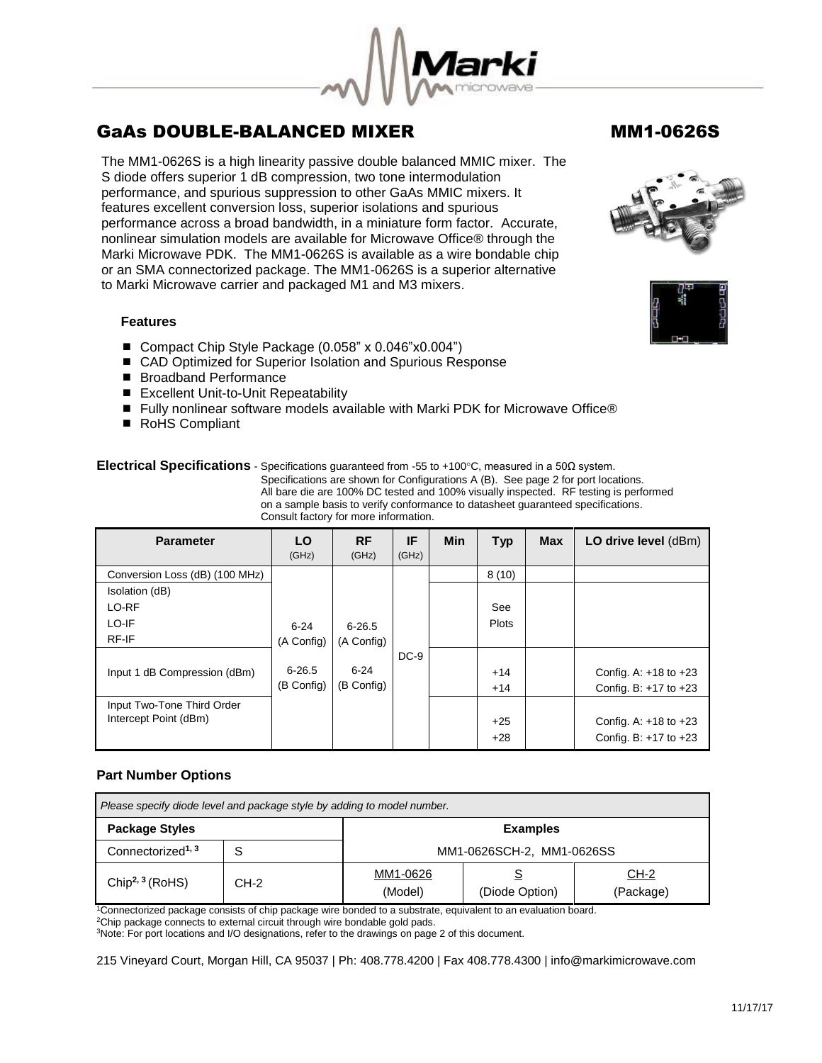

The MM1-0626S is a high linearity passive double balanced MMIC mixer. The S diode offers superior 1 dB compression, two tone intermodulation performance, and spurious suppression to other GaAs MMIC mixers. It features excellent conversion loss, superior isolations and spurious performance across a broad bandwidth, in a miniature form factor. Accurate, nonlinear simulation models are available for Microwave Office® through the Marki Microwave PDK. The MM1-0626S is available as a wire bondable chip or an SMA connectorized package. The MM1-0626S is a superior alternative to Marki Microwave carrier and packaged M1 and M3 mixers.

## **Features**

- Compact Chip Style Package (0.058" x 0.046"x0.004")
- CAD Optimized for Superior Isolation and Spurious Response
- Broadband Performance
- Excellent Unit-to-Unit Repeatability
- Fully nonlinear software models available with Marki PDK for Microwave Office®
- RoHS Compliant

## **Electrical Specifications** - Specifications guaranteed from -55 to +100°C, measured in a 50Ω system.

Specifications are shown for Configurations A (B). See page 2 for port locations. All bare die are 100% DC tested and 100% visually inspected. RF testing is performed on a sample basis to verify conformance to datasheet guaranteed specifications. Consult factory for more information.

| <b>Parameter</b>               | LO.<br>(GHz) | <b>RF</b><br>(GHz) | IF<br>(GHz) | <b>Min</b> | <b>Typ</b>   | <b>Max</b> | LO drive level (dBm)      |
|--------------------------------|--------------|--------------------|-------------|------------|--------------|------------|---------------------------|
| Conversion Loss (dB) (100 MHz) |              |                    |             |            | 8(10)        |            |                           |
| Isolation (dB)                 |              |                    |             |            |              |            |                           |
| LO-RF                          |              |                    |             |            | See          |            |                           |
| LO-IF                          | $6 - 24$     | $6 - 26.5$         |             |            | <b>Plots</b> |            |                           |
| RF-IF                          | (A Config)   | (A Config)         |             |            |              |            |                           |
|                                |              |                    | $DC-9$      |            |              |            |                           |
| Input 1 dB Compression (dBm)   | 6-26.5       | $6 - 24$           |             |            | $+14$        |            | Config. A: $+18$ to $+23$ |
|                                | (B Config)   | (B Config)         |             |            | $+14$        |            | Config. B: +17 to +23     |
| Input Two-Tone Third Order     |              |                    |             |            |              |            |                           |
| Intercept Point (dBm)          |              |                    |             |            | $+25$        |            | Config. A: $+18$ to $+23$ |
|                                |              |                    |             |            | $+28$        |            | Config. B: $+17$ to $+23$ |

## **Part Number Options**

| Please specify diode level and package style by adding to model number. |      |                           |                |                     |  |  |
|-------------------------------------------------------------------------|------|---------------------------|----------------|---------------------|--|--|
| <b>Package Styles</b><br><b>Examples</b>                                |      |                           |                |                     |  |  |
| Connectorized <sup>1, 3</sup>                                           |      | MM1-0626SCH-2, MM1-0626SS |                |                     |  |  |
| Chip <sup>2, 3</sup> (RoHS)                                             | CH-2 | MM1-0626<br>(Model)       | (Diode Option) | $CH-2$<br>(Package) |  |  |

<sup>1</sup>Connectorized package consists of chip package wire bonded to a substrate, equivalent to an evaluation board.

<sup>2</sup>Chip package connects to external circuit through wire bondable gold pads.

<sup>3</sup>Note: For port locations and I/O designations, refer to the drawings on page 2 of this document.

215 Vineyard Court, Morgan Hill, CA 95037 | Ph: 408.778.4200 | Fax 408.778.4300 | info@markimicrowave.com



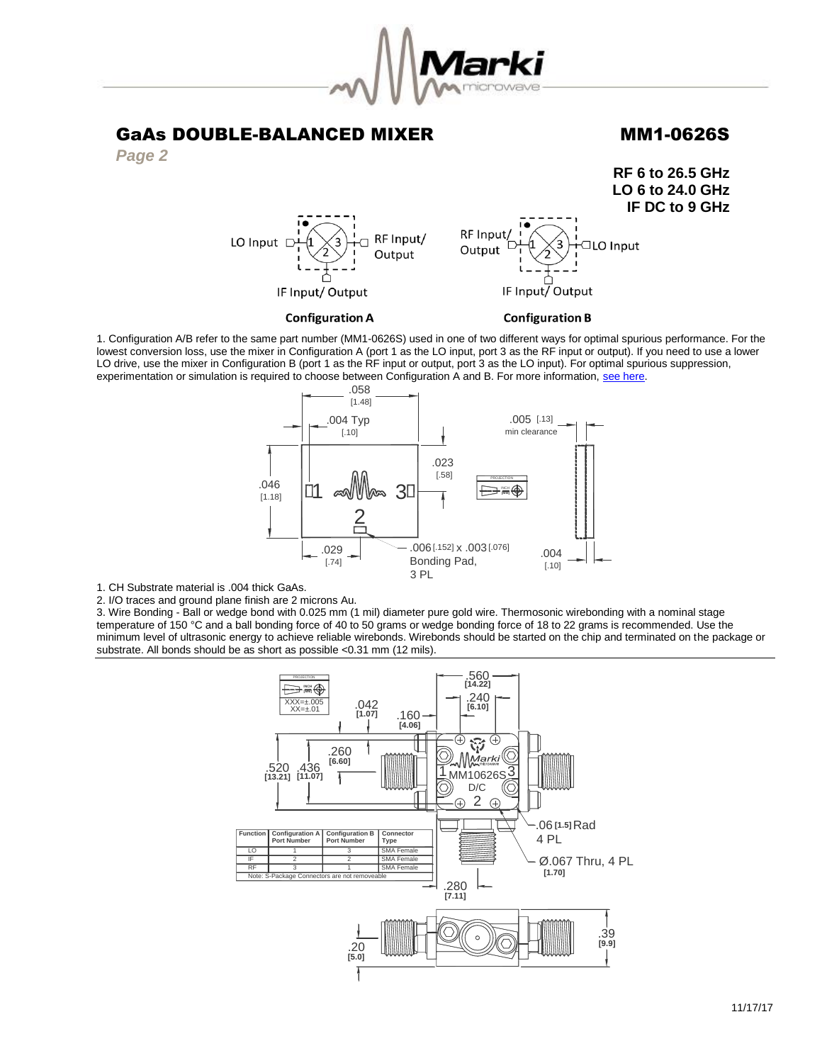



**RF 6 to 26.5 GHz LO 6 to 24.0 GHz IF DC to 9 GHz** RF Input/ RF Input/ LO Input [ ┑ **IO** Input Output Output IF Input/Output IF Input/Output

**Configuration A** 



1. Configuration A/B refer to the same part number (MM1-0626S) used in one of two different ways for optimal spurious performance. For the lowest conversion loss, use the mixer in Configuration A (port 1 as the LO input, port 3 as the RF input or output). If you need to use a lower LO drive, use the mixer in Configuration B (port 1 as the RF input or output, port 3 as the LO input). For optimal spurious suppression, experimentation or simulation is required to choose between Configuration A and B. For more information, [see here.](http://www.markimicrowave.com/rf-microwave-qa/q/what-is-the-difference-between-configuration-a-and-configuration-b-on-mixers)



1. CH Substrate material is .004 thick GaAs.

2. I/O traces and ground plane finish are 2 microns Au.

3. Wire Bonding - Ball or wedge bond with 0.025 mm (1 mil) diameter pure gold wire. Thermosonic wirebonding with a nominal stage temperature of 150 °C and a ball bonding force of 40 to 50 grams or wedge bonding force of 18 to 22 grams is recommended. Use the minimum level of ultrasonic energy to achieve reliable wirebonds. Wirebonds should be started on the chip and terminated on the package or substrate. All bonds should be as short as possible <0.31 mm (12 mils).

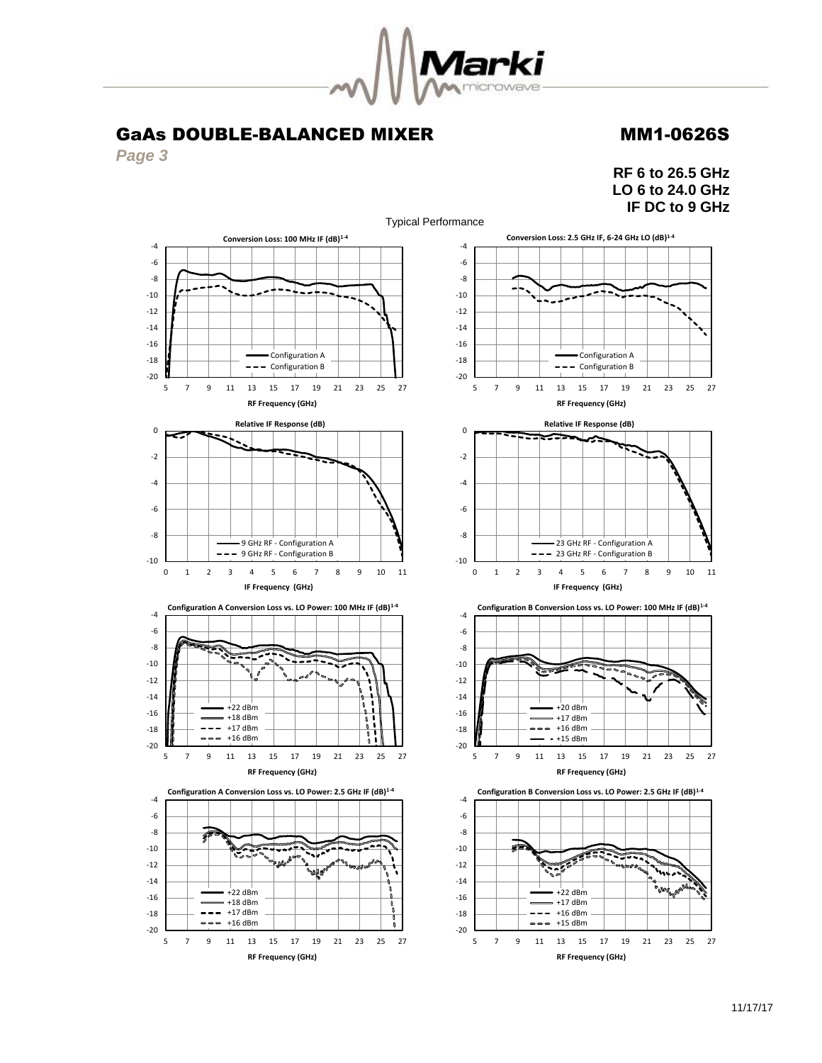

*Page 3*

**RF 6 to 26.5 GHz LO 6 to 24.0 GHz IF DC to 9 GHz**

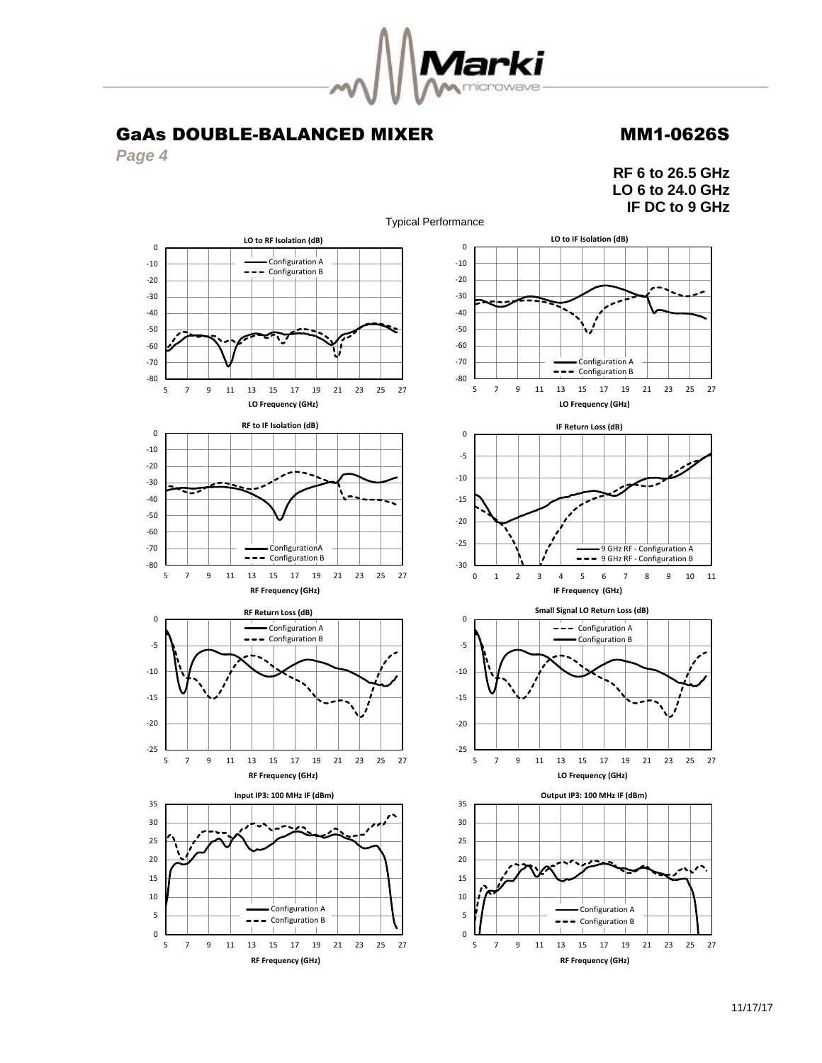

*Page 4*

**RF 6 to 26.5 GHz LO 6 to 24.0 GHz IF DC to 9 GHz**

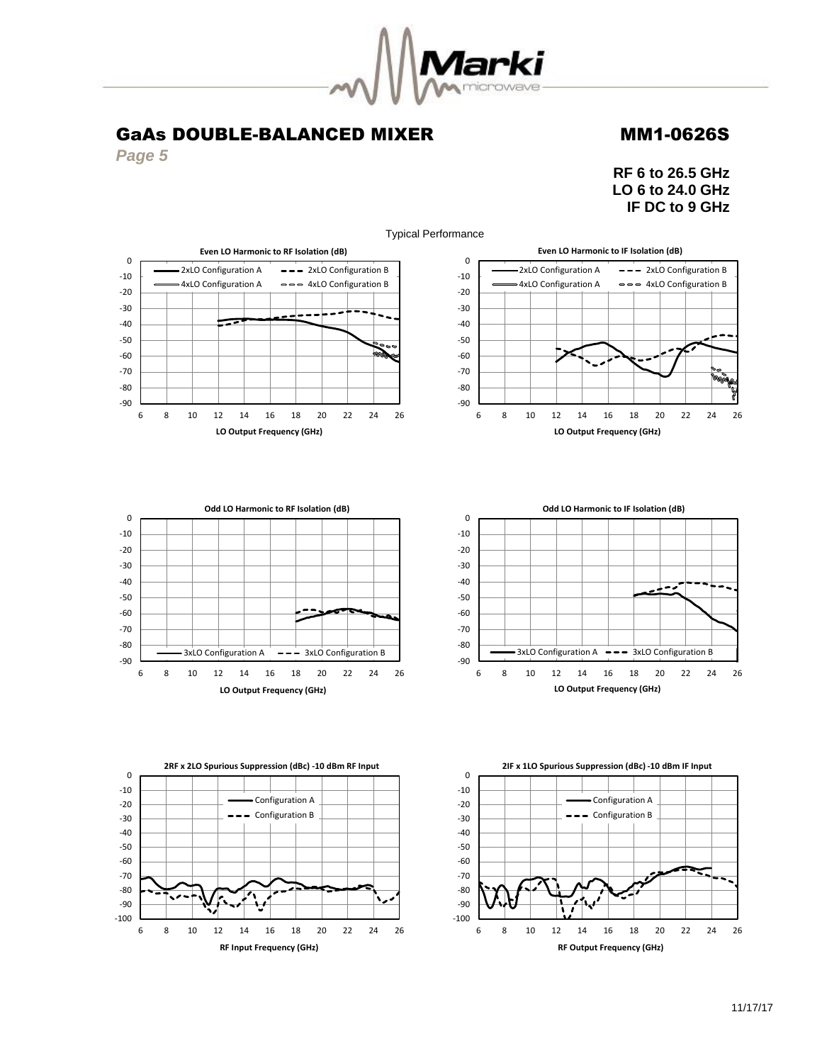

**RF Input Frequency (GHz)**

*Page 5*

**RF 6 to 26.5 GHz LO 6 to 24.0 GHz IF DC to 9 GHz**



11/17/17

**RF Output Frequency (GHz)**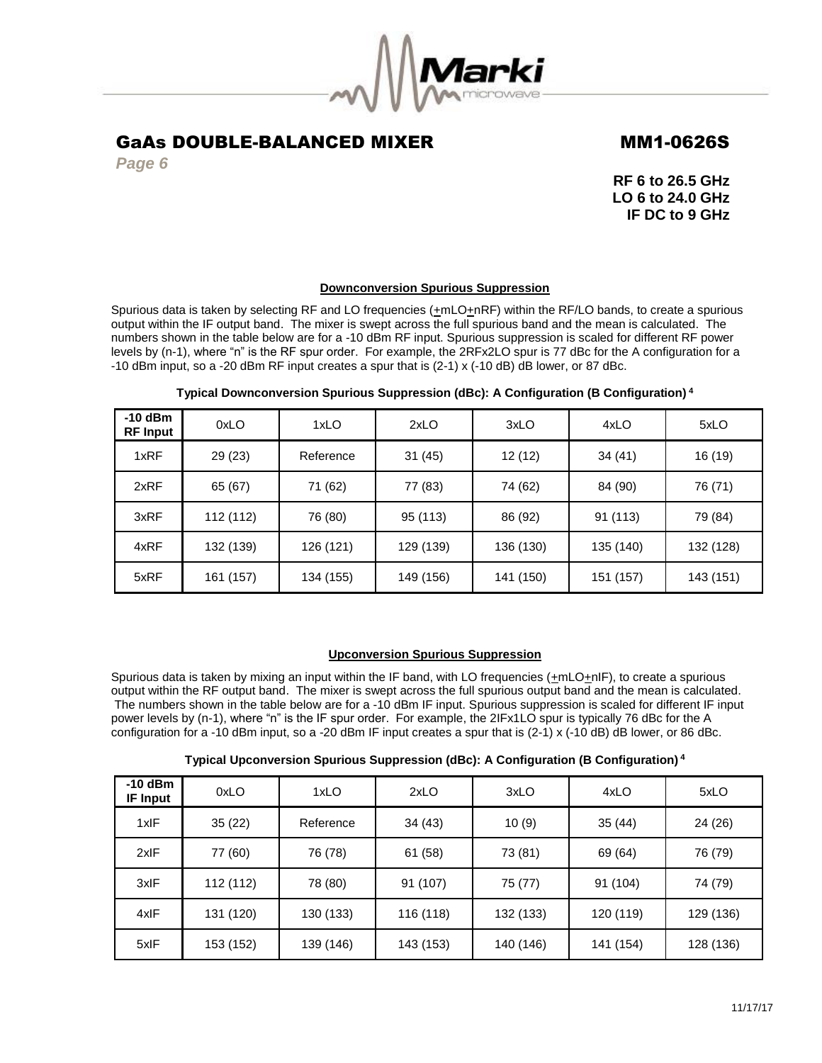

*Page 6*

**RF 6 to 26.5 GHz LO 6 to 24.0 GHz IF DC to 9 GHz**

## **Downconversion Spurious Suppression**

Spurious data is taken by selecting RF and LO frequencies  $(\pm mLO + nRF)$  within the RF/LO bands, to create a spurious output within the IF output band. The mixer is swept across the full spurious band and the mean is calculated. The numbers shown in the table below are for a -10 dBm RF input. Spurious suppression is scaled for different RF power levels by (n-1), where "n" is the RF spur order. For example, the 2RFx2LO spur is 77 dBc for the A configuration for a -10 dBm input, so a -20 dBm RF input creates a spur that is (2-1) x (-10 dB) dB lower, or 87 dBc.

| $-10$ dBm<br><b>RF Input</b> | 0xLO      | 1xLO      | 2xLO      | 3xLO      | 4xLO      | 5xLO      |
|------------------------------|-----------|-----------|-----------|-----------|-----------|-----------|
| 1xRF                         | 29 (23)   | Reference | 31(45)    | 12(12)    | 34 (41)   | 16 (19)   |
| 2xRF                         | 65 (67)   | 71 (62)   | 77 (83)   | 74 (62)   | 84 (90)   | 76 (71)   |
| 3xRF                         | 112 (112) | 76 (80)   | 95 (113)  | 86 (92)   | 91 (113)  | 79 (84)   |
| 4xRF                         | 132 (139) | 126 (121) | 129 (139) | 136 (130) | 135 (140) | 132 (128) |
| 5xRF                         | 161 (157) | 134 (155) | 149 (156) | 141 (150) | 151 (157) | 143 (151) |

## **Typical Downconversion Spurious Suppression (dBc): A Configuration (B Configuration) <sup>4</sup>**

## **Upconversion Spurious Suppression**

Spurious data is taken by mixing an input within the IF band, with LO frequencies (+mLO+nIF), to create a spurious output within the RF output band. The mixer is swept across the full spurious output band and the mean is calculated. The numbers shown in the table below are for a -10 dBm IF input. Spurious suppression is scaled for different IF input power levels by (n-1), where "n" is the IF spur order. For example, the 2IFx1LO spur is typically 76 dBc for the A configuration for a -10 dBm input, so a -20 dBm IF input creates a spur that is (2-1) x (-10 dB) dB lower, or 86 dBc.

| Typical Upconversion Spurious Suppression (dBc): A Configuration (B Configuration) <sup>4</sup> |  |  |  |  |  |  |  |
|-------------------------------------------------------------------------------------------------|--|--|--|--|--|--|--|
|-------------------------------------------------------------------------------------------------|--|--|--|--|--|--|--|

| $-10$ dBm<br><b>IF Input</b> | 0xLO      | 1xLO      | 2xLO      | 3xLO      | 4xLO      | 5xLO      |
|------------------------------|-----------|-----------|-----------|-----------|-----------|-----------|
| 1xIF                         | 35(22)    | Reference | 34(43)    | 10(9)     | 35(44)    | 24 (26)   |
| 2xIF                         | 77 (60)   | 76 (78)   | 61 (58)   | 73 (81)   | 69 (64)   | 76 (79)   |
| 3xIF                         | 112 (112) | 78 (80)   | 91 (107)  | 75 (77)   | 91 (104)  | 74 (79)   |
| 4xIF                         | 131 (120) | 130 (133) | 116 (118) | 132 (133) | 120 (119) | 129 (136) |
| 5xIF                         | 153 (152) | 139 (146) | 143 (153) | 140 (146) | 141 (154) | 128 (136) |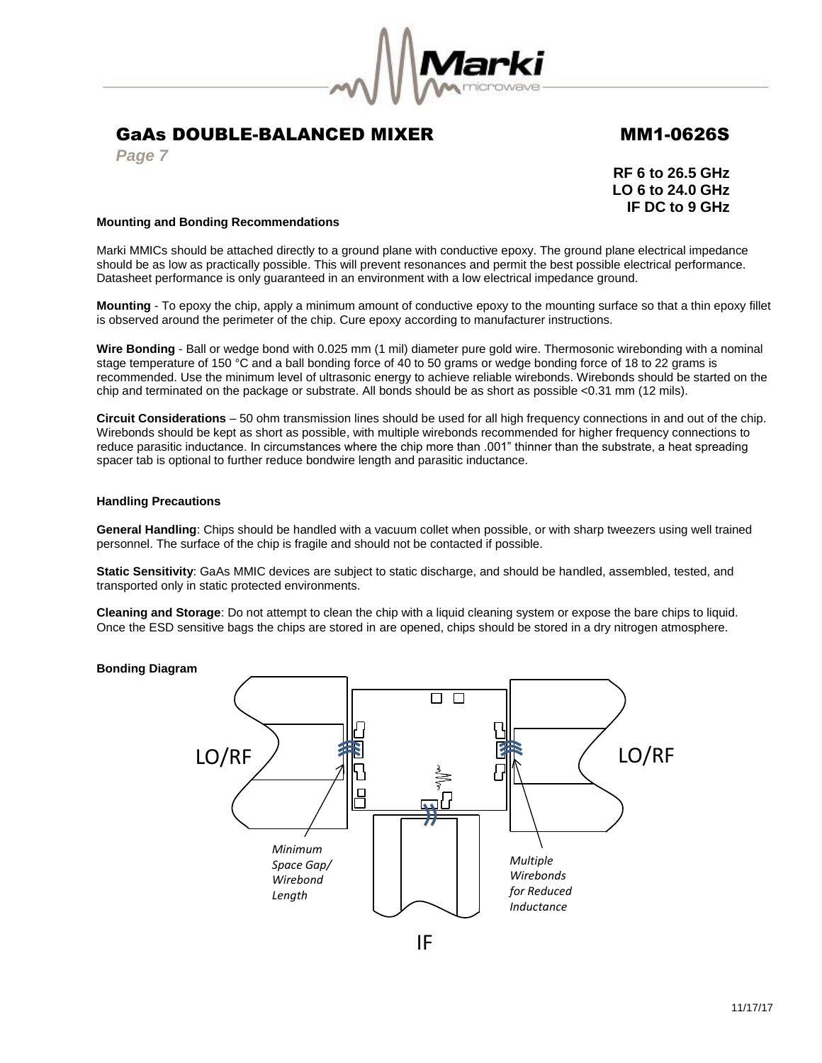

*Page 7*

**RF 6 to 26.5 GHz LO 6 to 24.0 GHz IF DC to 9 GHz**

## **Mounting and Bonding Recommendations**

Marki MMICs should be attached directly to a ground plane with conductive epoxy. The ground plane electrical impedance should be as low as practically possible. This will prevent resonances and permit the best possible electrical performance. Datasheet performance is only guaranteed in an environment with a low electrical impedance ground.

**Mounting** - To epoxy the chip, apply a minimum amount of conductive epoxy to the mounting surface so that a thin epoxy fillet is observed around the perimeter of the chip. Cure epoxy according to manufacturer instructions.

**Wire Bonding** - Ball or wedge bond with 0.025 mm (1 mil) diameter pure gold wire. Thermosonic wirebonding with a nominal stage temperature of 150 °C and a ball bonding force of 40 to 50 grams or wedge bonding force of 18 to 22 grams is recommended. Use the minimum level of ultrasonic energy to achieve reliable wirebonds. Wirebonds should be started on the chip and terminated on the package or substrate. All bonds should be as short as possible <0.31 mm (12 mils).

**Circuit Considerations** – 50 ohm transmission lines should be used for all high frequency connections in and out of the chip. Wirebonds should be kept as short as possible, with multiple wirebonds recommended for higher frequency connections to reduce parasitic inductance. In circumstances where the chip more than .001" thinner than the substrate, a heat spreading spacer tab is optional to further reduce bondwire length and parasitic inductance.

## **Handling Precautions**

**General Handling**: Chips should be handled with a vacuum collet when possible, or with sharp tweezers using well trained personnel. The surface of the chip is fragile and should not be contacted if possible.

**Static Sensitivity**: GaAs MMIC devices are subject to static discharge, and should be handled, assembled, tested, and transported only in static protected environments.

**Cleaning and Storage**: Do not attempt to clean the chip with a liquid cleaning system or expose the bare chips to liquid. Once the ESD sensitive bags the chips are stored in are opened, chips should be stored in a dry nitrogen atmosphere.

## **Bonding Diagram**